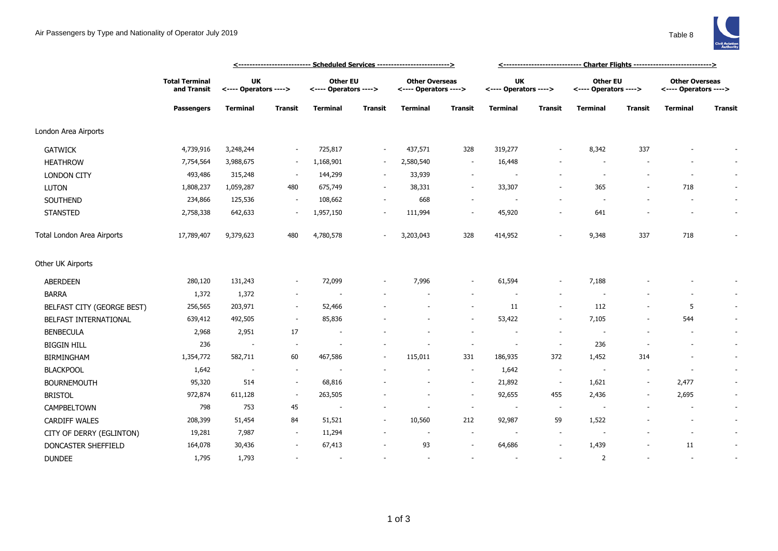

|                            | <b>Total Terminal</b><br>and Transit<br><b>Passengers</b> | <b>UK</b><br><---- Operators ----> |                          | <b>Other EU</b><br><---- Operators ----> |                          | <b>Other Overseas</b><br><---- Operators ----> |                          | <b>UK</b><br><---- Operators ----> |                          | Other EU<br><---- Operators ----> |                | <b>Other Overseas</b><br><---- Operators ----> |                          |
|----------------------------|-----------------------------------------------------------|------------------------------------|--------------------------|------------------------------------------|--------------------------|------------------------------------------------|--------------------------|------------------------------------|--------------------------|-----------------------------------|----------------|------------------------------------------------|--------------------------|
|                            |                                                           | <b>Terminal</b>                    | <b>Transit</b>           | <b>Terminal</b>                          | <b>Transit</b>           | Terminal                                       | Transit                  | <b>Terminal</b>                    | <b>Transit</b>           | <b>Terminal</b>                   | <b>Transit</b> | <b>Terminal</b>                                | Transit                  |
| London Area Airports       |                                                           |                                    |                          |                                          |                          |                                                |                          |                                    |                          |                                   |                |                                                |                          |
| <b>GATWICK</b>             | 4,739,916                                                 | 3,248,244                          |                          | 725,817                                  | $\sim$                   | 437,571                                        | 328                      | 319,277                            | $\overline{a}$           | 8,342                             | 337            |                                                |                          |
| <b>HEATHROW</b>            | 7,754,564                                                 | 3,988,675                          | $\sim$                   | 1,168,901                                | $\sim$                   | 2,580,540                                      | $\sim$                   | 16,448                             |                          |                                   |                |                                                |                          |
| <b>LONDON CITY</b>         | 493,486                                                   | 315,248                            | $\sim$                   | 144,299                                  | $\sim$                   | 33,939                                         | $\sim$                   | $\sim$                             | $\blacksquare$           | $\overline{\phantom{a}}$          |                |                                                | $\sim$                   |
| <b>LUTON</b>               | 1,808,237                                                 | 1,059,287                          | 480                      | 675,749                                  | $\sim$                   | 38,331                                         | $\sim$                   | 33,307                             | $\blacksquare$           | 365                               |                | 718                                            | $\sim$                   |
| SOUTHEND                   | 234,866                                                   | 125,536                            |                          | 108,662                                  |                          | 668                                            | $\sim$                   | ÷,                                 | $\blacksquare$           |                                   |                |                                                | $\overline{\phantom{a}}$ |
| <b>STANSTED</b>            | 2,758,338                                                 | 642,633                            |                          | 1,957,150                                |                          | 111,994                                        | $\overline{\phantom{a}}$ | 45,920                             | $\blacksquare$           | 641                               |                |                                                |                          |
| Total London Area Airports | 17,789,407                                                | 9,379,623                          | 480                      | 4,780,578                                |                          | 3,203,043                                      | 328                      | 414,952                            |                          | 9,348                             | 337            | 718                                            |                          |
| Other UK Airports          |                                                           |                                    |                          |                                          |                          |                                                |                          |                                    |                          |                                   |                |                                                |                          |
| <b>ABERDEEN</b>            | 280,120                                                   | 131,243                            | $\sim$                   | 72,099                                   |                          | 7,996                                          | $\overline{\phantom{a}}$ | 61,594                             | $\overline{\phantom{a}}$ | 7,188                             |                |                                                |                          |
| <b>BARRA</b>               | 1,372                                                     | 1,372                              |                          |                                          |                          |                                                |                          |                                    |                          |                                   |                |                                                |                          |
| BELFAST CITY (GEORGE BEST) | 256,565                                                   | 203,971                            |                          | 52,466                                   |                          |                                                |                          | 11                                 | $\overline{\phantom{a}}$ | 112                               |                | 5                                              | $\overline{\phantom{a}}$ |
| BELFAST INTERNATIONAL      | 639,412                                                   | 492,505                            | $\sim$                   | 85,836                                   |                          |                                                | $\sim$                   | 53,422                             | $\sim$                   | 7,105                             | ۰              | 544                                            | $\sim$                   |
| <b>BENBECULA</b>           | 2,968                                                     | 2,951                              | 17                       |                                          |                          |                                                |                          |                                    | $\overline{\phantom{a}}$ |                                   |                |                                                | $\sim$                   |
| <b>BIGGIN HILL</b>         | 236                                                       | $\sim$                             |                          |                                          |                          |                                                | $\overline{\phantom{a}}$ |                                    | $\overline{\phantom{a}}$ | 236                               |                |                                                | $\sim$                   |
| <b>BIRMINGHAM</b>          | 1,354,772                                                 | 582,711                            | 60                       | 467,586                                  | $\overline{\phantom{a}}$ | 115,011                                        | 331                      | 186,935                            | 372                      | 1,452                             | 314            |                                                | $\sim$                   |
| <b>BLACKPOOL</b>           | 1,642                                                     | $\overline{\phantom{a}}$           | $\sim$                   |                                          |                          |                                                | $\sim$                   | 1,642                              | $\sim$                   |                                   | ٠              | $\overline{\phantom{a}}$                       | $\sim$                   |
| <b>BOURNEMOUTH</b>         | 95,320                                                    | 514                                | $\overline{\phantom{a}}$ | 68,816                                   |                          |                                                | $\overline{\phantom{a}}$ | 21,892                             | $\sim$                   | 1,621                             | $\sim$         | 2,477                                          | $\overline{\phantom{a}}$ |
| <b>BRISTOL</b>             | 972,874                                                   | 611,128                            | $\sim$                   | 263,505                                  |                          |                                                | $\sim$                   | 92,655                             | 455                      | 2,436                             |                | 2,695                                          | $\blacksquare$           |
| CAMPBELTOWN                | 798                                                       | 753                                | 45                       | <b>1</b>                                 |                          |                                                | $\overline{\phantom{a}}$ | $\overline{\phantom{a}}$           | $\sim$                   | $\overline{\phantom{a}}$          |                | $\sim$                                         | $\sim$                   |
| <b>CARDIFF WALES</b>       | 208,399                                                   | 51,454                             | 84                       | 51,521                                   | $\sim$                   | 10,560                                         | 212                      | 92,987                             | 59                       | 1,522                             |                | $\sim$                                         | $\sim$                   |
| CITY OF DERRY (EGLINTON)   | 19,281                                                    | 7,987                              | $\sim$                   | 11,294                                   |                          |                                                | $\sim$                   |                                    | $\overline{\phantom{a}}$ |                                   |                |                                                | $\sim$                   |
| DONCASTER SHEFFIELD        | 164,078                                                   | 30,436                             |                          | 67,413                                   |                          | 93                                             | $\overline{\phantom{a}}$ | 64,686                             | $\blacksquare$           | 1,439                             |                | 11                                             | $\overline{\phantom{a}}$ |
| <b>DUNDEE</b>              | 1,795                                                     | 1,793                              |                          | $\overline{\phantom{a}}$                 |                          |                                                | $\sim$                   |                                    |                          | $\overline{2}$                    |                |                                                | ÷.                       |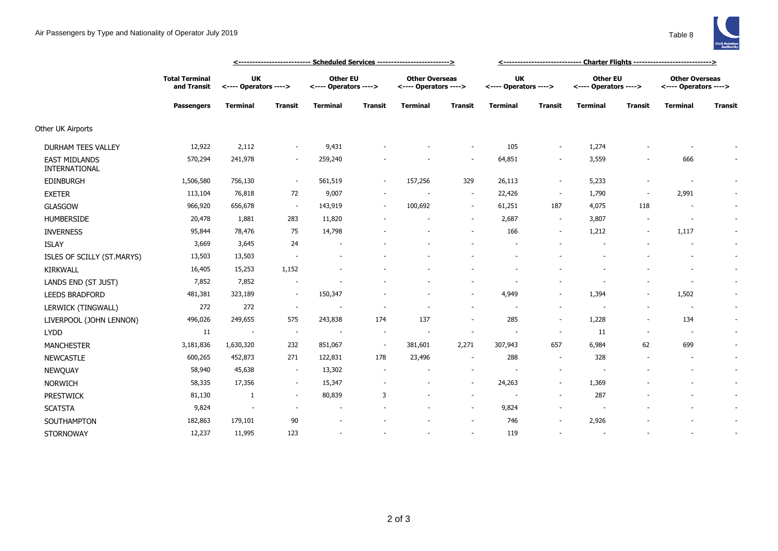|                                       |                                      | <u> &lt;--------------------------- Scheduled Services --------------------------&gt;</u> |                          |                                          |                |                                                |                |                                    |                          |                                          |                |                                                |                          |
|---------------------------------------|--------------------------------------|-------------------------------------------------------------------------------------------|--------------------------|------------------------------------------|----------------|------------------------------------------------|----------------|------------------------------------|--------------------------|------------------------------------------|----------------|------------------------------------------------|--------------------------|
|                                       | <b>Total Terminal</b><br>and Transit | UK<br><---- Operators ---->                                                               |                          | <b>Other EU</b><br><---- Operators ----> |                | <b>Other Overseas</b><br><---- Operators ----> |                | <b>UK</b><br><---- Operators ----> |                          | <b>Other EU</b><br><---- Operators ----> |                | <b>Other Overseas</b><br><---- Operators ----> |                          |
|                                       | <b>Passengers</b>                    | <b>Terminal</b>                                                                           | <b>Transit</b>           | <b>Terminal</b>                          | <b>Transit</b> | <b>Terminal</b>                                | <b>Transit</b> | <b>Terminal</b>                    | <b>Transit</b>           | <b>Terminal</b>                          | <b>Transit</b> | <b>Terminal</b>                                | <b>Transit</b>           |
| Other UK Airports                     |                                      |                                                                                           |                          |                                          |                |                                                |                |                                    |                          |                                          |                |                                                |                          |
| <b>DURHAM TEES VALLEY</b>             | 12,922                               | 2,112                                                                                     | $\sim$                   | 9,431                                    |                |                                                |                | 105                                | $\overline{\phantom{a}}$ | 1,274                                    |                |                                                |                          |
| <b>EAST MIDLANDS</b><br>INTERNATIONAL | 570,294                              | 241,978                                                                                   |                          | 259,240                                  |                |                                                |                | 64,851                             | $\overline{\phantom{a}}$ | 3,559                                    |                | 666                                            |                          |
| <b>EDINBURGH</b>                      | 1,506,580                            | 756,130                                                                                   | $\sim$                   | 561,519                                  | $\sim$         | 157,256                                        | 329            | 26,113                             | $\sim$                   | 5,233                                    |                | $\overline{\phantom{a}}$                       | $\overline{\phantom{a}}$ |
| <b>EXETER</b>                         | 113,104                              | 76,818                                                                                    | 72                       | 9,007                                    |                |                                                | $\sim$         | 22,426                             | $\sim$                   | 1,790                                    | $\sim$         | 2,991                                          | $\sim$                   |
| <b>GLASGOW</b>                        | 966,920                              | 656,678                                                                                   | $\sim$                   | 143,919                                  | $\sim$         | 100,692                                        | $\sim$         | 61,251                             | 187                      | 4,075                                    | 118            | $\overline{\phantom{a}}$                       | $\sim$                   |
| <b>HUMBERSIDE</b>                     | 20,478                               | 1,881                                                                                     | 283                      | 11,820                                   |                |                                                | $\sim$         | 2,687                              | $\sim$                   | 3,807                                    |                | $\overline{\phantom{a}}$                       | $\sim$                   |
| <b>INVERNESS</b>                      | 95,844                               | 78,476                                                                                    | 75                       | 14,798                                   |                |                                                | $\sim$         | 166                                | $\sim$                   | 1,212                                    | $\sim$         | 1,117                                          | $\sim$                   |
| <b>ISLAY</b>                          | 3,669                                | 3,645                                                                                     | 24                       |                                          |                |                                                |                |                                    |                          |                                          |                |                                                | $\sim$                   |
| ISLES OF SCILLY (ST.MARYS)            | 13,503                               | 13,503                                                                                    |                          |                                          |                |                                                |                |                                    |                          |                                          |                | $\sim$                                         | $\sim$                   |
| <b>KIRKWALL</b>                       | 16,405                               | 15,253                                                                                    | 1,152                    |                                          |                |                                                |                |                                    |                          |                                          |                |                                                | $\sim$                   |
| LANDS END (ST JUST)                   | 7,852                                | 7,852                                                                                     |                          |                                          |                |                                                |                |                                    |                          |                                          |                |                                                | $\sim$                   |
| <b>LEEDS BRADFORD</b>                 | 481,381                              | 323,189                                                                                   | $\sim$                   | 150,347                                  |                |                                                | $\sim$         | 4,949                              | $\sim$                   | 1,394                                    | ٠              | 1,502                                          | $\overline{\phantom{a}}$ |
| LERWICK (TINGWALL)                    | 272                                  | 272                                                                                       | $\sim$                   | $\overline{\phantom{a}}$                 |                |                                                | $\sim$         | $\overline{\phantom{a}}$           | $\sim$                   | $\overline{\phantom{a}}$                 |                | $\sim$                                         | $\sim$                   |
| LIVERPOOL (JOHN LENNON)               | 496,026                              | 249,655                                                                                   | 575                      | 243,838                                  | 174            | 137                                            | $\sim$         | 285                                | $\sim$                   | 1,228                                    | ٠              | 134                                            | $\sim$                   |
| <b>LYDD</b>                           | 11                                   | $\sim$                                                                                    | $\sim$                   |                                          | $\sim$         | $\overline{\phantom{a}}$                       | $\sim$         | $\sim$                             | $\sim$                   | 11                                       | $\sim$         | $\overline{\phantom{a}}$                       | $\sim$                   |
| <b>MANCHESTER</b>                     | 3,181,836                            | 1,630,320                                                                                 | 232                      | 851,067                                  | $\sim$         | 381,601                                        | 2,271          | 307,943                            | 657                      | 6,984                                    | 62             | 699                                            | $\overline{\phantom{a}}$ |
| <b>NEWCASTLE</b>                      | 600,265                              | 452,873                                                                                   | 271                      | 122,831                                  | 178            | 23,496                                         | $\sim$         | 288                                | $\sim$                   | 328                                      |                | $\overline{\phantom{a}}$                       | $\sim$                   |
| NEWQUAY                               | 58,940                               | 45,638                                                                                    | $\sim$                   | 13,302                                   |                |                                                | $\sim$         |                                    | $\overline{\phantom{a}}$ |                                          |                |                                                | $\overline{\phantom{a}}$ |
| <b>NORWICH</b>                        | 58,335                               | 17,356                                                                                    | $\sim$                   | 15,347                                   |                |                                                | $\sim$         | 24,263                             | $\overline{\phantom{a}}$ | 1,369                                    |                | $\overline{\phantom{a}}$                       | $\sim$                   |
| <b>PRESTWICK</b>                      | 81,130                               | 1                                                                                         | $\sim$                   | 80,839                                   | 3              |                                                | $\sim$         |                                    | $\sim$                   | 287                                      |                |                                                | $\sim$                   |
| <b>SCATSTA</b>                        | 9,824                                | $\overline{\phantom{a}}$                                                                  | $\overline{\phantom{a}}$ | $\overline{\phantom{a}}$                 |                |                                                | $\sim$         | 9,824                              | $\sim$                   | $\overline{\phantom{a}}$                 |                |                                                | $\sim$                   |
| SOUTHAMPTON                           | 182,863                              | 179,101                                                                                   | 90                       |                                          |                |                                                | $\sim$         | 746                                | $\overline{\phantom{a}}$ | 2,926                                    |                |                                                | $\overline{\phantom{a}}$ |
| <b>STORNOWAY</b>                      | 12,237                               | 11,995                                                                                    | 123                      | $\overline{a}$                           |                |                                                |                | 119                                |                          | $\overline{\phantom{a}}$                 |                |                                                | $\overline{\phantom{a}}$ |